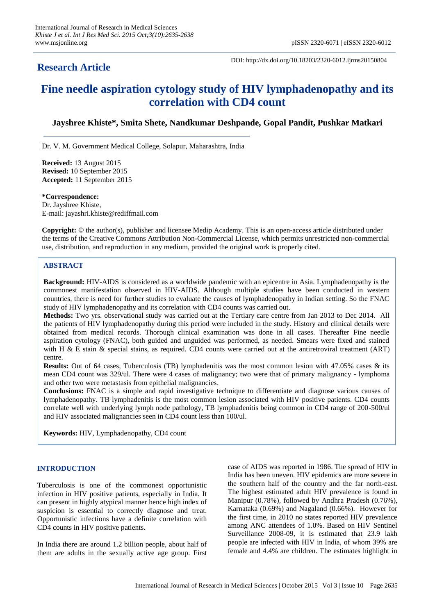## **Research Article**

DOI: http://dx.doi.org/10.18203/2320-6012.ijrms20150804

# **Fine needle aspiration cytology study of HIV lymphadenopathy and its correlation with CD4 count**

### **Jayshree Khiste\*, Smita Shete, Nandkumar Deshpande, Gopal Pandit, Pushkar Matkari**

Dr. V. M. Government Medical College, Solapur, Maharashtra, India

**Received:** 13 August 2015 **Revised:** 10 September 2015 **Accepted:** 11 September 2015

**\*Correspondence:**

Dr. Jayshree Khiste, E-mail: jayashri.khiste@rediffmail.com

**Copyright:** © the author(s), publisher and licensee Medip Academy. This is an open-access article distributed under the terms of the Creative Commons Attribution Non-Commercial License, which permits unrestricted non-commercial use, distribution, and reproduction in any medium, provided the original work is properly cited.

#### **ABSTRACT**

**Background:** HIV-AIDS is considered as a worldwide pandemic with an epicentre in Asia. Lymphadenopathy is the commonest manifestation observed in HIV-AIDS. Although multiple studies have been conducted in western countries, there is need for further studies to evaluate the causes of lymphadenopathy in Indian setting. So the FNAC study of HIV lymphadenopathy and its correlation with CD4 counts was carried out.

**Methods:** Two yrs. observational study was carried out at the Tertiary care centre from Jan 2013 to Dec 2014. All the patients of HIV lymphadenopathy during this period were included in the study. History and clinical details were obtained from medical records. Thorough clinical examination was done in all cases. Thereafter Fine needle aspiration cytology (FNAC), both guided and unguided was performed, as needed. Smears were fixed and stained with H & E stain & special stains, as required. CD4 counts were carried out at the antiretroviral treatment (ART) centre.

**Results:** Out of 64 cases, Tuberculosis (TB) lymphadenitis was the most common lesion with 47.05% cases & its mean CD4 count was 329/ul. There were 4 cases of malignancy; two were that of primary malignancy - lymphoma and other two were metastasis from epithelial malignancies.

**Conclusions:** FNAC is a simple and rapid investigative technique to differentiate and diagnose various causes of lymphadenopathy. TB lymphadenitis is the most common lesion associated with HIV positive patients. CD4 counts correlate well with underlying lymph node pathology, TB lymphadenitis being common in CD4 range of 200-500/ul and HIV associated malignancies seen in CD4 count less than 100/ul.

**Keywords:** HIV, Lymphadenopathy, CD4 count

#### **INTRODUCTION**

Tuberculosis is one of the commonest opportunistic infection in HIV positive patients, especially in India. It can present in highly atypical manner hence high index of suspicion is essential to correctly diagnose and treat. Opportunistic infections have a definite correlation with CD4 counts in HIV positive patients.

In India there are around 1.2 billion people, about half of them are adults in the sexually active age group. First case of AIDS was reported in 1986. The spread of HIV in India has been uneven. HIV epidemics are more severe in the southern half of the country and the far north-east. The highest estimated adult HIV prevalence is found in Manipur (0.78%), followed by Andhra Pradesh (0.76%), Karnataka (0.69%) and Nagaland (0.66%). However for the first time, in 2010 no states reported HIV prevalence among ANC attendees of 1.0%. Based on HIV Sentinel Surveillance 2008-09, it is estimated that 23.9 lakh people are infected with HIV in India, of whom 39% are female and 4.4% are children. The estimates highlight in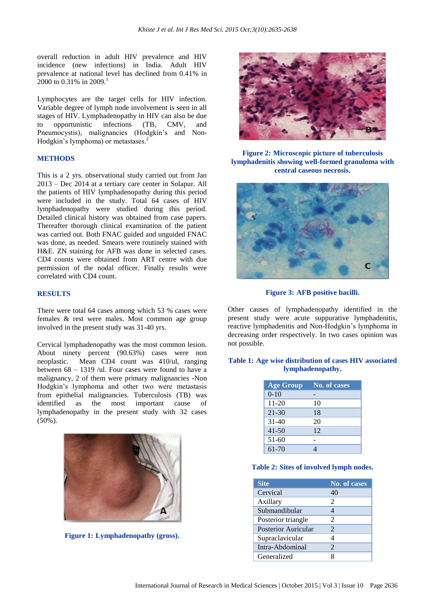overall reduction in adult HIV prevalence and HIV incidence (new infections) in India. Adult HIV prevalence at national level has declined from 0.41% in 2000 to 0.31% in 2009.<sup>1</sup>

Lymphocytes are the target cells for HIV infection. Variable degree of lymph node involvement is seen in all stages of HIV. Lymphadenopathy in HIV can also be due to opportunistic infections (TB, CMV, and Pneumocystis), malignancies (Hodgkin's and Non-Hodgkin's lymphoma) or metastases.<sup>2</sup>

#### **METHODS**

This is a 2 yrs. observational study carried out from Jan 2013 – Dec 2014 at a tertiary care center in Solapur. All the patients of HIV lymphadenopathy during this period were included in the study. Total 64 cases of HIV lymphadenopathy were studied during this period. Detailed clinical history was obtained from case papers. Thereafter thorough clinical examination of the patient was carried out. Both FNAC guided and unguided FNAC was done, as needed. Smears were routinely stained with H&E. ZN staining for AFB was done in selected cases. CD4 counts were obtained from ART centre with due permission of the nodal officer. Finally results were correlated with CD4 count.

#### **RESULTS**

There were total 64 cases among which 53 % cases were females & rest were males. Most common age group involved in the present study was 31-40 yrs.

Cervical lymphadenopathy was the most common lesion. About ninety percent (90.63%) cases were non neoplastic. Mean CD4 count was 410/ul, ranging between 68 – 1319 /ul. Four cases were found to have a malignancy, 2 of them were primary malignancies -Non Hodgkin's lymphoma and other two were metastasis from epithelial malignancies. Tuberculosis (TB) was identified as the most important cause of lymphadenopathy in the present study with 32 cases (50%).



**Figure 1: Lymphadenopathy (gross).**



**Figure 2: Microscopic picture of tuberculosis lymphadenitis showing well-formed granuloma with central caseous necrosis.**



**Figure 3: AFB positive bacilli.**

Other causes of lymphadenopathy identified in the present study were acute suppurative lymphadenitis, reactive lymphadenitis and Non-Hodgkin's lymphoma in decreasing order respectively. In two cases opinion was not possible.

#### **Table 1: Age wise distribution of cases HIV associated lymphadenopathy.**

| <b>Age Group</b> | <b>No. of cases</b> |
|------------------|---------------------|
| $0-10$           |                     |
| $11 - 20$        | 10                  |
| $21 - 30$        | 18                  |
| $31 - 40$        | 20                  |
| $41 - 50$        | 12                  |
| 51-60            |                     |
| 61-70            |                     |

#### **Table 2: Sites of involved lymph nodes.**

| <b>Site</b>         | No. of cases   |
|---------------------|----------------|
| Cervical            | 40             |
| Axillary            | $\mathfrak{D}$ |
| Submandibular       |                |
| Posterior triangle  | $\mathfrak{D}$ |
| Posterior Auricular | $\mathfrak{D}$ |
| Supraclavicular     |                |
| Intra-Abdominal     | $\mathfrak{D}$ |
| Generalized         |                |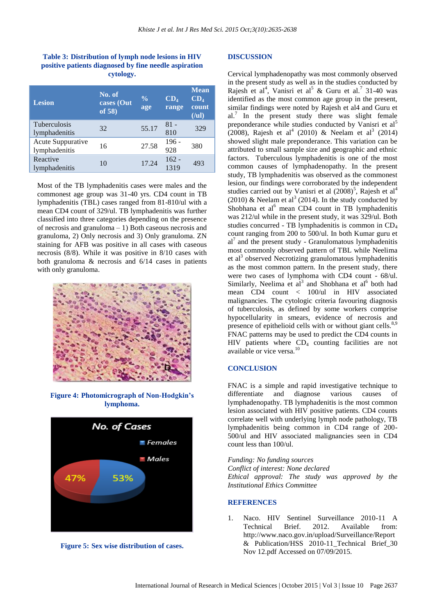#### **Table 3: Distribution of lymph node lesions in HIV positive patients diagnosed by fine needle aspiration cytology.**

| <b>Lesion</b>                        | No. of<br>cases (Out<br>of 58) | $\frac{0}{0}$<br>age | CD <sub>4</sub><br>range | <b>Mean</b><br>CD <sub>4</sub><br>count<br>(lul) |
|--------------------------------------|--------------------------------|----------------------|--------------------------|--------------------------------------------------|
| <b>Tuberculosis</b><br>lymphadenitis | 32                             | 55.17                | $81 -$<br>810            | 329                                              |
| Acute Suppurative<br>lymphadenitis   | 16                             | 27.58                | $196 -$<br>928           | 380                                              |
| Reactive<br>lymphadenitis            | 10                             | 17.24                | $162 -$<br>1319          | 493                                              |

Most of the TB lymphadenitis cases were males and the commonest age group was 31-40 yrs. CD4 count in TB lymphadenitis (TBL) cases ranged from 81-810/ul with a mean CD4 count of 329/ul. TB lymphadenitis was further classified into three categories depending on the presence of necrosis and granuloma – 1) Both caseous necrosis and granuloma, 2) Only necrosis and 3) Only granuloma. ZN staining for AFB was positive in all cases with caseous necrosis (8/8). While it was positive in 8/10 cases with both granuloma & necrosis and 6/14 cases in patients with only granuloma.



**Figure 4: Photomicrograph of Non-Hodgkin's lymphoma.**





#### **DISCUSSION**

Cervical lymphadenopathy was most commonly observed in the present study as well as in the studies conducted by Rajesh et al<sup>4</sup>, Vanisri et al<sup>5</sup> & Guru et al.<sup>7</sup> 31-40 was identified as the most common age group in the present, similar findings were noted by Rajesh et al4 and Guru et al.<sup>7</sup> In the present study there was slight female preponderance while studies conducted by Vanisri et al<sup>5</sup> (2008), Rajesh et al<sup>4</sup> (2010) & Neelam et al<sup>3</sup> (2014) showed slight male preponderance. This variation can be attributed to small sample size and geographic and ethnic factors. Tuberculous lymphadenitis is one of the most common causes of lymphadenopathy. In the present study, TB lymphadenitis was observed as the commonest lesion, our findings were corroborated by the independent studies carried out by Vanisri et al  $(2008)^5$ , Rajesh et al<sup>4</sup> (2010) & Neelam et al<sup>3</sup> (2014). In the study conducted by Shobhana et al $<sup>6</sup>$  mean CD4 count in TB lymphadenitis</sup> was 212/ul while in the present study, it was 329/ul. Both studies concurred - TB lymphadenitis is common in CD<sup>4</sup> count ranging from 200 to 500/ul. In both Kumar guru et al7 and the present study - Granulomatous lymphadenitis most commonly observed pattern of TBL while Neelima et al<sup>3</sup> observed Necrotizing granulomatous lymphadenitis as the most common pattern. In the present study, there were two cases of lymphoma with CD4 count - 68/ul. Similarly, Neelima et  $a^{\hat{1}^3}$  and Shobhana et  $a^{1^6}$  both had mean CD4 count < 100/ul in HIV associated malignancies. The cytologic criteria favouring diagnosis of tuberculosis, as defined by some workers comprise hypocellularity in smears, evidence of necrosis and presence of epithelioid cells with or without giant cells.<sup>8,9</sup> FNAC patterns may be used to predict the CD4 counts in HIV patients where  $CD_4$  counting facilities are not available or vice versa.<sup>10</sup>

#### **CONCLUSION**

FNAC is a simple and rapid investigative technique to differentiate and diagnose various causes of lymphadenopathy. TB lymphadenitis is the most common lesion associated with HIV positive patients. CD4 counts correlate well with underlying lymph node pathology, TB lymphadenitis being common in CD4 range of 200- 500/ul and HIV associated malignancies seen in CD4 count less than 100/ul.

*Funding: No funding sources*

*Conflict of interest: None declared Ethical approval: The study was approved by the Institutional Ethics Committee*

#### **REFERENCES**

1. Naco. HIV Sentinel Surveillance 2010-11 A Technical Brief. 2012. Available from: http://www.naco.gov.in/upload/Surveillance/Report & Publication/HSS 2010-11\_Technical Brief\_30 Nov 12.pdf Accessed on 07/09/2015.